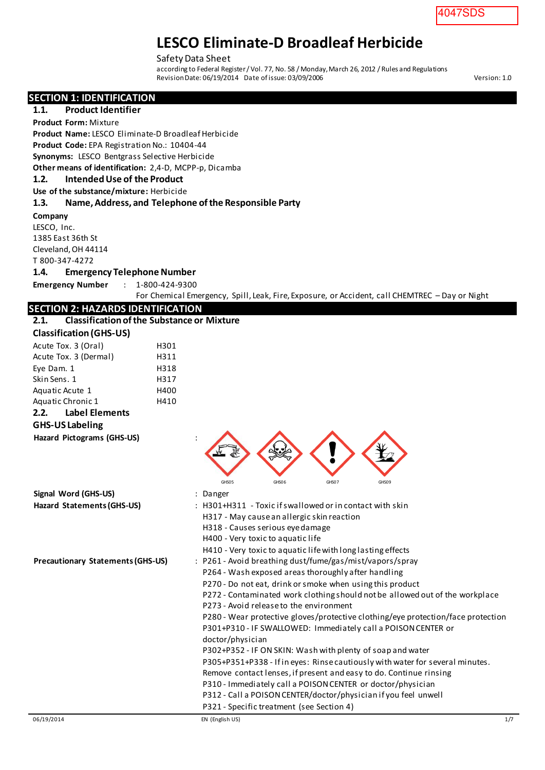#### Safety Data Sheet

according to Federal Register / Vol. 77, No. 58 / Monday, March 26, 2012 / Rules and Regulations Revision Date: 06/19/2014 Date of issue: 03/09/2006

**SECTION 1: IDENTIFICATION** 

**1.1. Product Identifier**

**Product Form:** Mixture

**Product Name:** LESCO Eliminate-D Broadleaf Herbicide **Product Code:** EPA Registration No.: 10404-44

**Synonyms:** LESCO Bentgrass Selective Herbicide

**Other means of identification:** 2,4-D, MCPP-p, Dicamba

#### **1.2. Intended Use of the Product**

**Use of the substance/mixture:** Herbicide

#### **1.3. Name, Address, and Telephone of the Responsible Party**

**Company** 

LESCO, Inc. 1385 East 36th St Cleveland, OH 44114 T 800-347-4272

#### **1.4. Emergency Telephone Number**

**Emergency Number** : 1-800-424-9300

For Chemical Emergency, Spill, Leak, Fire, Exposure, or Accident, call CHEMTREC – Day or Night

#### **SECTION 2: HAZARDS IDENTIFICATION**

| 2.1.                           | <b>Classification of the Substance or Mixture</b> |  |  |  |  |
|--------------------------------|---------------------------------------------------|--|--|--|--|
| <b>Classification (GHS-US)</b> |                                                   |  |  |  |  |
| Acute Tox. 3 (Oral)            | H301                                              |  |  |  |  |
| .                              |                                                   |  |  |  |  |

| Cidssification (Gris-Os)                 |      |                                                                                                                                                                                                                                                                                                                                                                                                                                                                                                                                                                                                                                                                                                                                                                                                                                                                                      |
|------------------------------------------|------|--------------------------------------------------------------------------------------------------------------------------------------------------------------------------------------------------------------------------------------------------------------------------------------------------------------------------------------------------------------------------------------------------------------------------------------------------------------------------------------------------------------------------------------------------------------------------------------------------------------------------------------------------------------------------------------------------------------------------------------------------------------------------------------------------------------------------------------------------------------------------------------|
| Acute Tox. 3 (Oral)                      | H301 |                                                                                                                                                                                                                                                                                                                                                                                                                                                                                                                                                                                                                                                                                                                                                                                                                                                                                      |
| Acute Tox. 3 (Dermal)                    | H311 |                                                                                                                                                                                                                                                                                                                                                                                                                                                                                                                                                                                                                                                                                                                                                                                                                                                                                      |
| Eye Dam. 1                               | H318 |                                                                                                                                                                                                                                                                                                                                                                                                                                                                                                                                                                                                                                                                                                                                                                                                                                                                                      |
| Skin Sens. 1                             | H317 |                                                                                                                                                                                                                                                                                                                                                                                                                                                                                                                                                                                                                                                                                                                                                                                                                                                                                      |
| Aquatic Acute 1                          | H400 |                                                                                                                                                                                                                                                                                                                                                                                                                                                                                                                                                                                                                                                                                                                                                                                                                                                                                      |
| Aquatic Chronic 1                        | H410 |                                                                                                                                                                                                                                                                                                                                                                                                                                                                                                                                                                                                                                                                                                                                                                                                                                                                                      |
| <b>Label Elements</b><br>2.2.            |      |                                                                                                                                                                                                                                                                                                                                                                                                                                                                                                                                                                                                                                                                                                                                                                                                                                                                                      |
| <b>GHS-US Labeling</b>                   |      |                                                                                                                                                                                                                                                                                                                                                                                                                                                                                                                                                                                                                                                                                                                                                                                                                                                                                      |
| Hazard Pictograms (GHS-US)               |      | GHS05<br>GHS06<br>GHS07<br>GHS09                                                                                                                                                                                                                                                                                                                                                                                                                                                                                                                                                                                                                                                                                                                                                                                                                                                     |
| Signal Word (GHS-US)                     |      | : Danger                                                                                                                                                                                                                                                                                                                                                                                                                                                                                                                                                                                                                                                                                                                                                                                                                                                                             |
| Hazard Statements (GHS-US)               |      | : H301+H311 - Toxic if swallowed or in contact with skin<br>H317 - May cause an allergic skin reaction<br>H318 - Causes serious eye damage<br>H400 - Very toxic to aquatic life<br>H410 - Very toxic to aquatic life with long lasting effects                                                                                                                                                                                                                                                                                                                                                                                                                                                                                                                                                                                                                                       |
| <b>Precautionary Statements (GHS-US)</b> |      | : P261 - Avoid breathing dust/fume/gas/mist/vapors/spray<br>P264 - Wash exposed areas thoroughly after handling<br>P270 - Do not eat, drink or smoke when using this product<br>P272 - Contaminated work clothing should not be allowed out of the workplace<br>P273 - Avoid release to the environment<br>P280 - Wear protective gloves/protective clothing/eye protection/face protection<br>P301+P310 - IF SWALLOWED: Immediately call a POISON CENTER or<br>doctor/physician<br>P302+P352 - IF ON SKIN: Wash with plenty of soap and water<br>P305+P351+P338 - If in eyes: Rinse cautiously with water for several minutes.<br>Remove contact lenses, if present and easy to do. Continue rinsing<br>P310 - Immediately call a POISON CENTER or doctor/physician<br>P312 - Call a POISON CENTER/doctor/physician if you feel unwell<br>P321 - Specific treatment (see Section 4) |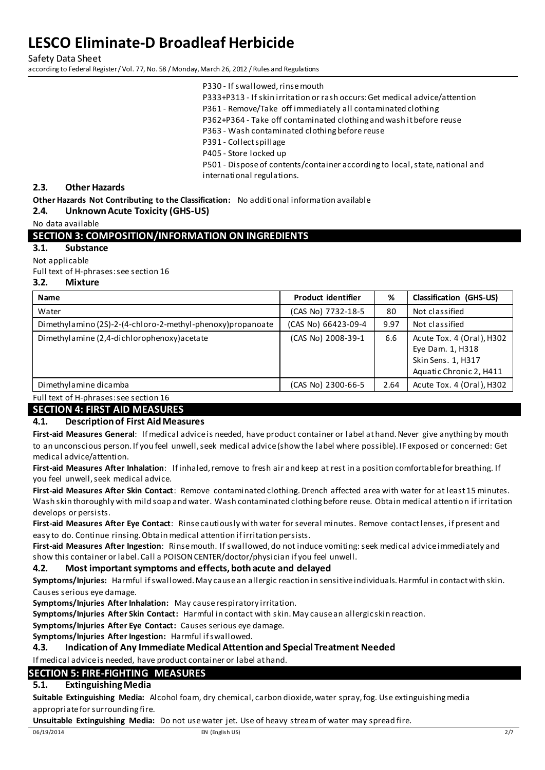Safety Data Sheet according to Federal Register / Vol. 77, No. 58 / Monday, March 26, 2012 / Rules and Regulations

P333+P313 - If skin irritation or rash occurs: Get medical advice/attention

P361 - Remove/Take off immediately all contaminated clothing

P362+P364 - Take off contaminated clothing and wash it before reuse

P363 - Wash contaminated clothing before reuse

P391 - Collect spillage

P405 - Store locked up

P501 - Dispose of contents/container according to local, state, national and international regulations.

#### **2.3. Other Hazards**

**Other Hazards Not Contributing to the Classification:** No additional information available

**2.4. Unknown Acute Toxicity (GHS-US)** 

No data available

#### **SECTION 3: COMPOSITION/INFORMATION ON INGREDIENTS**

**3.1. Substance** 

Not applicable

Full text of H-phrases: see section 16

#### **3.2. Mixture**

| <b>Name</b>                                                 | <b>Product identifier</b> | %    | <b>Classification (GHS-US)</b>                                                                 |
|-------------------------------------------------------------|---------------------------|------|------------------------------------------------------------------------------------------------|
| Water                                                       | (CAS No) 7732-18-5        | 80   | Not classified                                                                                 |
| Dimethylamino (2S)-2-(4-chloro-2-methyl-phenoxy) propanoate | (CAS No) 66423-09-4       | 9.97 | Not classified                                                                                 |
| Dimethylamine (2,4-dichlorophenoxy) acetate                 | (CAS No) 2008-39-1        | 6.6  | Acute Tox. 4 (Oral), H302<br>Eye Dam. 1, H318<br>Skin Sens. 1, H317<br>Aquatic Chronic 2, H411 |
| Dimethylamine dicamba                                       | (CAS No) 2300-66-5        | 2.64 | Acute Tox. 4 (Oral), H302                                                                      |

Full text of H-phrases: see section 16

#### **SECTION 4: FIRST AID MEASURES**

#### **4.1. Description of First Aid Measures**

**First-aid Measures General**: If medical advice is needed, have product container or label at hand. Never give anything by mouth to an unconscious person. If you feel unwell, seek medical advice (show the label where possible). IF exposed or concerned: Get medical advice/attention.

**First-aid Measures After Inhalation**: If inhaled, remove to fresh air and keep at rest in a position comfortable for breathing. If you feel unwell, seek medical advice.

**First-aid Measures After Skin Contact**: Remove contaminated clothing. Drench affected area with water for at least 15 minutes. Wash skin thoroughly with mild soap and water. Wash contaminated clothing before reuse. Obtain medical attentio n if irritation develops or persists.

**First-aid Measures After Eye Contact**: Rinse cautiously with water for several minutes. Remove contact lenses, if present and easy to do. Continue rinsing. Obtain medical attention if irritation persists.

**First-aid Measures After Ingestion**: Rinse mouth. If swallowed, do not induce vomiting: seek medical advice immediately and show this container or label. Call a POISON CENTER/doctor/physician if you feel unwell.

#### **4.2. Most important symptoms and effects, both acute and delayed**

**Symptoms/Injuries:** Harmful if swallowed. May cause an allergic reaction in sensitive individuals. Harmful in contact with skin. Causes serious eye damage.

**Symptoms/Injuries After Inhalation:** May cause respiratory irritation.

**Symptoms/Injuries After Skin Contact:** Harmful in contact with skin. May cause an allergic skin reaction.

**Symptoms/Injuries After Eye Contact:** Causes serious eye damage.

**Symptoms/Injuries After Ingestion:** Harmful if swallowed.

#### **4.3. Indication of Any Immediate Medical Attention and Special Treatment Needed**

If medical advice is needed, have product container or label at hand.

#### **SECTION 5: FIRE-FIGHTING MEASURES**

#### **5.1. Extinguishing Media**

**Suitable Extinguishing Media:** Alcohol foam, dry chemical, carbon dioxide, water spray, fog. Use extinguishing media appropriate for surrounding fire.

**Unsuitable Extinguishing Media:** Do not use water jet. Use of heavy stream of water may spread fire.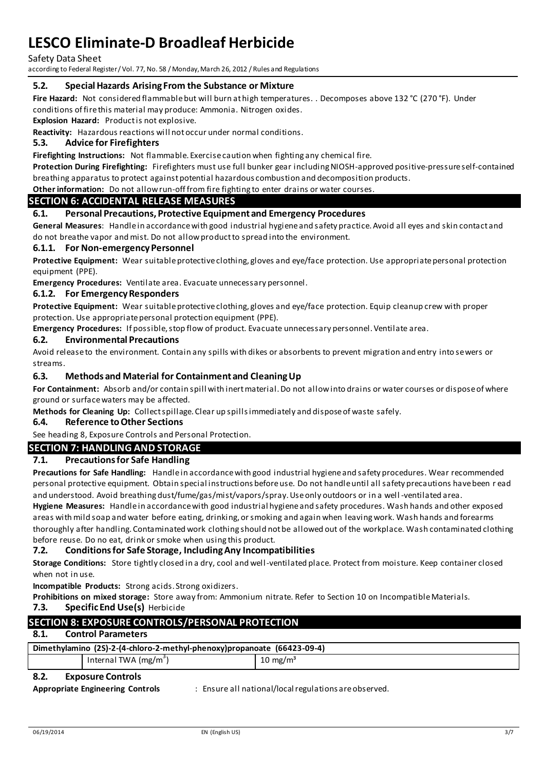Safety Data Sheet

according to Federal Register / Vol. 77, No. 58 / Monday, March 26, 2012 / Rules and Regulations

#### **5.2. Special Hazards Arising From the Substance or Mixture**

**Fire Hazard:** Not considered flammable but will burn at high temperatures. . Decomposes above 132 °C (270 °F). Under conditions of fire this material may produce: Ammonia. Nitrogen oxides.

**Explosion Hazard:** Product is not explosive.

**Reactivity:** Hazardous reactions will not occur under normal conditions.

#### **5.3. Advice for Firefighters**

**Firefighting Instructions:** Not flammable. Exercise caution when fighting any chemical fire.

**Protection During Firefighting:** Firefighters must use full bunker gear including NIOSH-approved positive-pressure self-contained breathing apparatus to protect against potential hazardous combustion and decomposition products.

### **Other information:** Do not allow run-off from fire fighting to enter drains or water courses.

#### **SECTION 6: ACCIDENTAL RELEASE MEASURES**

#### **6.1. Personal Precautions, Protective Equipment and Emergency Procedures**

**General Measures**: Handle in accordance with good industrial hygiene and safety practice. Avoid all eyes and skin contact and do not breathe vapor and mist. Do not allow product to spread into the environment.

#### **6.1.1. For Non-emergency Personnel**

**Protective Equipment:** Wear suitable protective clothing, gloves and eye/face protection. Use appropriate personal protection equipment (PPE).

**Emergency Procedures:** Ventilate area. Evacuate unnecessary personnel.

#### **6.1.2. For Emergency Responders**

**Protective Equipment:** Wear suitable protective clothing, gloves and eye/face protection. Equip cleanup crew with proper protection. Use appropriate personal protection equipment (PPE).

**Emergency Procedures:** If possible, stop flow of product. Evacuate unnecessary personnel. Ventilate area.

#### **6.2. Environmental Precautions**

Avoid release to the environment. Contain any spills with dikes or absorbents to prevent migration and entry into sewers or streams.

#### **6.3. Methods and Material for Containment and Cleaning Up**

**For Containment:** Absorb and/or contain spill with inert material. Do not allow into drains or water courses or dispose of where ground or surface waters may be affected.

**Methods for Cleaning Up:** Collect spillage. Clear up spills immediately and dispose of waste safely.

#### **6.4. Reference to Other Sections**

See heading 8, Exposure Controls and Personal Protection.

### **SECTION 7: HANDLING AND STORAGE**

#### **7.1. Precautions for Safe Handling**

**Precautions for Safe Handling:** Handle in accordance with good industrial hygiene and safety procedures. Wear recommended personal protective equipment. Obtain special instructions before use. Do not handle until all safety precautions have been r ead and understood. Avoid breathing dust/fume/gas/mist/vapors/spray. Use only outdoors or in a well -ventilated area. **Hygiene Measures:** Handle in accordance with good industrial hygiene and safety procedures. Wash hands and other exposed areas with mild soap and water before eating, drinking, or smoking and again when leaving work. Wash hands and forearms thoroughly after handling. Contaminated work clothing should not be allowed out of the workplace. Wash contaminated clothing before reuse. Do no eat, drink or smoke when using this product.

#### **7.2. Conditions for Safe Storage, Including Any Incompatibilities**

**Storage Conditions:** Store tightly closed in a dry, cool and well -ventilated place. Protect from moisture. Keep container closed when not in use.

**Incompatible Products:** Strong acids. Strong oxidizers.

**Prohibitions on mixed storage:** Store away from: Ammonium nitrate. Refer to Section 10 on Incompatible Materials. **7.3. Specific End Use(s)** Herbicide

#### **SECTION 8: EXPOSURE CONTROLS/PERSONAL PROTECTION**

#### **8.1. Control Parameters**

| Dimethylamino (2S)-2-(4-chloro-2-methyl-phenoxy)propanoate (66423-09-4) |                        |                     |  |
|-------------------------------------------------------------------------|------------------------|---------------------|--|
|                                                                         | Internal TWA $(mg/m3)$ | $10 \text{ mg/m}^3$ |  |

#### **8.2. Exposure Controls**

**Appropriate Engineering Controls** : Ensure all national/local regulations are observed.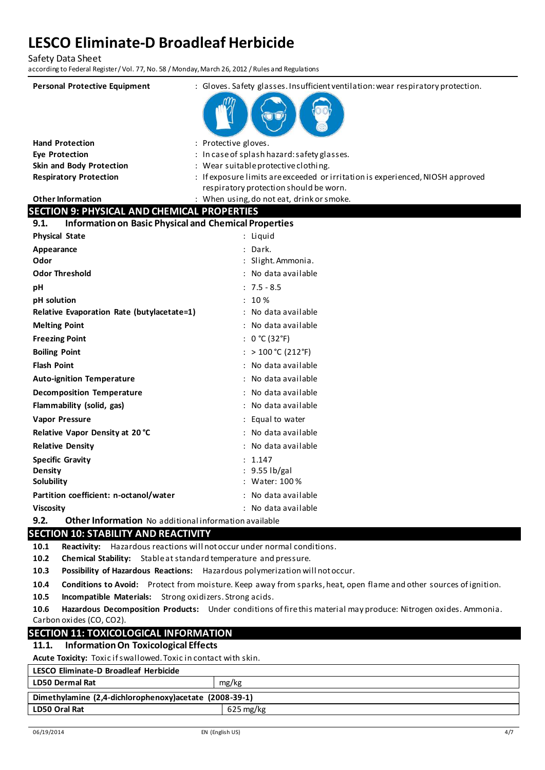Safety Data Sheet

according to Federal Register / Vol. 77, No. 58 / Monday, March 26, 2012 / Rules and Regulations

| <b>Personal Protective Equipment</b>                                                                  | : Gloves. Safety glasses. Insufficient ventilation: wear respiratory protection.                                         |
|-------------------------------------------------------------------------------------------------------|--------------------------------------------------------------------------------------------------------------------------|
|                                                                                                       |                                                                                                                          |
|                                                                                                       |                                                                                                                          |
|                                                                                                       |                                                                                                                          |
| <b>Hand Protection</b>                                                                                | : Protective gloves.                                                                                                     |
| Eye Protection                                                                                        | : In case of splash hazard: safety glasses.                                                                              |
| Skin and Body Protection                                                                              | : Wear suitable protective clothing.                                                                                     |
| <b>Respiratory Protection</b>                                                                         | : If exposure limits are exceeded or irritation is experienced, NIOSH approved<br>respiratory protection should be worn. |
| <b>Other Information</b>                                                                              | : When using, do not eat, drink or smoke.                                                                                |
| <b>SECTION 9: PHYSICAL AND CHEMICAL PROPERTIES</b>                                                    |                                                                                                                          |
| <b>Information on Basic Physical and Chemical Properties</b><br>9.1.                                  |                                                                                                                          |
| <b>Physical State</b>                                                                                 | : Liquid                                                                                                                 |
| Appearance                                                                                            | : Dark.                                                                                                                  |
| Odor                                                                                                  | : Slight. Ammonia.                                                                                                       |
| <b>Odor Threshold</b>                                                                                 | : No data available                                                                                                      |
| рH                                                                                                    | $: 7.5 - 8.5$                                                                                                            |
| pH solution                                                                                           | : 10%                                                                                                                    |
| Relative Evaporation Rate (butylacetate=1)                                                            | : No data available                                                                                                      |
| <b>Melting Point</b>                                                                                  | : No data available                                                                                                      |
| <b>Freezing Point</b>                                                                                 | : $0 °C (32 °F)$                                                                                                         |
| <b>Boiling Point</b>                                                                                  | : $> 100 °C (212 °F)$                                                                                                    |
| <b>Flash Point</b>                                                                                    | : No data available                                                                                                      |
| <b>Auto-ignition Temperature</b>                                                                      | No data available                                                                                                        |
| <b>Decomposition Temperature</b>                                                                      | : No data available                                                                                                      |
| Flammability (solid, gas)                                                                             | : No data available                                                                                                      |
| <b>Vapor Pressure</b>                                                                                 | : Equal to water                                                                                                         |
| Relative Vapor Density at 20 °C                                                                       | : No data available                                                                                                      |
| <b>Relative Density</b>                                                                               | No data available                                                                                                        |
| <b>Specific Gravity</b>                                                                               | : 1.147                                                                                                                  |
| Density                                                                                               | : 9.55 lb/gal                                                                                                            |
| Solubility                                                                                            | : Water: 100 %                                                                                                           |
| Partition coefficient: n-octanol/water                                                                | : No data available                                                                                                      |
| <b>Viscosity</b>                                                                                      | : No data available                                                                                                      |
| 9.2.<br>Other Information No additional information available<br>CECTION 10. CTADILITY AND DEACTIVITY |                                                                                                                          |

#### **SECTION 10: STABILITY AND REACTIVITY**

**10.1 Reactivity:** Hazardous reactions will not occur under normal conditions.

**10.2 Chemical Stability:** Stable at standard temperature and pressure.

**10.3 Possibility of Hazardous Reactions:** Hazardous polymerization will not occur.

**10.4 Conditions to Avoid:** Protect from moisture. Keep away from sparks, heat, open flame and other sources of ignition.

**10.5 Incompatible Materials:** Strong oxidizers. Strong acids.

**10.6 Hazardous Decomposition Products:** Under conditions of fire this material may produce: Nitrogen oxides. Ammonia. Carbon oxides (CO, CO2).

#### **SECTION 11: TOXICOLOGICAL INFORMATION**

### **11.1. Information On Toxicological Effects**

**Acute Toxicity:** Toxic if swallowed. Toxic in contact with skin.

### **LESCO Eliminate-D Broadleaf Herbicide**

| LD50 Dermal Rat                                         | mg/kg                  |  |  |  |
|---------------------------------------------------------|------------------------|--|--|--|
| Dimethylamine (2,4-dichlorophenoxy) acetate (2008-39-1) |                        |  |  |  |
| <b>LD50 Oral Rat</b>                                    | $625 \,\mathrm{mg/kg}$ |  |  |  |
|                                                         |                        |  |  |  |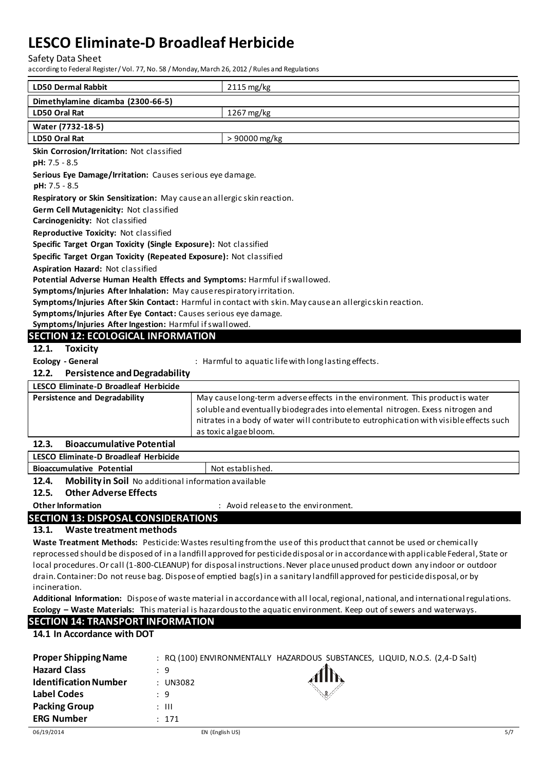Safety Data Sheet

according to Federal Register / Vol. 77, No. 58 / Monday, March 26, 2012 / Rules and Regulations

| <b>LD50 Dermal Rabbit</b>                                                                                 | 2115 mg/kg                                                                                                                         |
|-----------------------------------------------------------------------------------------------------------|------------------------------------------------------------------------------------------------------------------------------------|
| Dimethylamine dicamba (2300-66-5)                                                                         |                                                                                                                                    |
| LD50 Oral Rat                                                                                             | 1267 mg/kg                                                                                                                         |
| Water (7732-18-5)                                                                                         |                                                                                                                                    |
| LD50 Oral Rat                                                                                             | > 90000 mg/kg                                                                                                                      |
| Skin Corrosion/Irritation: Not classified                                                                 |                                                                                                                                    |
| pH: 7.5 - 8.5                                                                                             |                                                                                                                                    |
| Serious Eye Damage/Irritation: Causes serious eye damage.                                                 |                                                                                                                                    |
| pH: 7.5 - 8.5                                                                                             |                                                                                                                                    |
| Respiratory or Skin Sensitization: May cause an allergic skin reaction.                                   |                                                                                                                                    |
| Germ Cell Mutagenicity: Not classified                                                                    |                                                                                                                                    |
| Carcinogenicity: Not classified                                                                           |                                                                                                                                    |
| Reproductive Toxicity: Not classified<br>Specific Target Organ Toxicity (Single Exposure): Not classified |                                                                                                                                    |
| Specific Target Organ Toxicity (Repeated Exposure): Not classified                                        |                                                                                                                                    |
| Aspiration Hazard: Not classified                                                                         |                                                                                                                                    |
| Potential Adverse Human Health Effects and Symptoms: Harmful if swallowed.                                |                                                                                                                                    |
| Symptoms/Injuries After Inhalation: May cause respiratory irritation.                                     |                                                                                                                                    |
|                                                                                                           | Symptoms/Injuries After Skin Contact: Harmful in contact with skin. May cause an allergicskin reaction.                            |
| Symptoms/Injuries After Eye Contact: Causes serious eye damage.                                           |                                                                                                                                    |
| Symptoms/Injuries After Ingestion: Harmful if swallowed.                                                  |                                                                                                                                    |
| <b>SECTION 12: ECOLOGICAL INFORMATION</b>                                                                 |                                                                                                                                    |
| 12.1.<br><b>Toxicity</b>                                                                                  |                                                                                                                                    |
| <b>Ecology - General</b>                                                                                  | : Harmful to aquatic life with long lasting effects.                                                                               |
| 12.2.<br><b>Persistence and Degradability</b>                                                             |                                                                                                                                    |
| LESCO Eliminate-D Broadleaf Herbicide                                                                     |                                                                                                                                    |
| <b>Persistence and Degradability</b>                                                                      | May cause long-term adverse effects in the environment. This product is water                                                      |
|                                                                                                           | soluble and eventually biodegrades into elemental nitrogen. Exess nitrogen and                                                     |
|                                                                                                           | nitrates in a body of water will contribute to eutrophication with visible effects such                                            |
| 12.3.<br><b>Bioaccumulative Potential</b>                                                                 | as toxic algae bloom.                                                                                                              |
| LESCO Eliminate-D Broadleaf Herbicide                                                                     |                                                                                                                                    |
| <b>Bioaccumulative Potential</b>                                                                          | Not established.                                                                                                                   |
| 12.4<br>Mobility in Soil No additional information available                                              |                                                                                                                                    |
| <b>Other Adverse Effects</b><br>12.5.                                                                     |                                                                                                                                    |
| <b>Other Information</b>                                                                                  | : Avoid release to the environment.                                                                                                |
| <b>SECTION 13: DISPOSAL CONSIDERATIONS</b>                                                                |                                                                                                                                    |
| Waste treatment methods<br>13.1.                                                                          |                                                                                                                                    |
|                                                                                                           | Waste Treatment Methods: Pesticide: Wastes resulting from the use of this product that cannot be used or chemically                |
|                                                                                                           | reprocessed should be disposed of in a landfill approved for pesticide disposal or in accordance with applicable Federal, State or |
|                                                                                                           | On sell (4, 800 CLEANUD) four disposed instructions. Nouse also a unused and dust developed                                        |

local procedures. Or call (1-800-CLEANUP) for disposal instructions. Never place unused product down any indoor or outdoor drain. Container: Do not reuse bag. Dispose of emptied bag(s) in a sanitary landfill approved for pesticide disposal, or by incineration.

**Additional Information:** Dispose of waste material in accordance with all local, regional, national, and international regulations. **Ecology – Waste Materials:** This material is hazardous to the aquatic environment. Keep out of sewers and waterways.

#### **SECTION 14: TRANSPORT INFORMATION**

**14.1 In Accordance with DOT**

| <b>Proper Shipping Name</b>  | : RQ (100) ENVIRONMENTALLY HAZARDOUS SUBSTANCES, LIQUID, N.O.S. (2,4-D Salt) |  |
|------------------------------|------------------------------------------------------------------------------|--|
| <b>Hazard Class</b>          | $\cdot$ 9                                                                    |  |
| <b>Identification Number</b> | : UN3082                                                                     |  |
| Label Codes                  | : 9                                                                          |  |
| <b>Packing Group</b>         | : III                                                                        |  |
| <b>ERG Number</b>            | : 171                                                                        |  |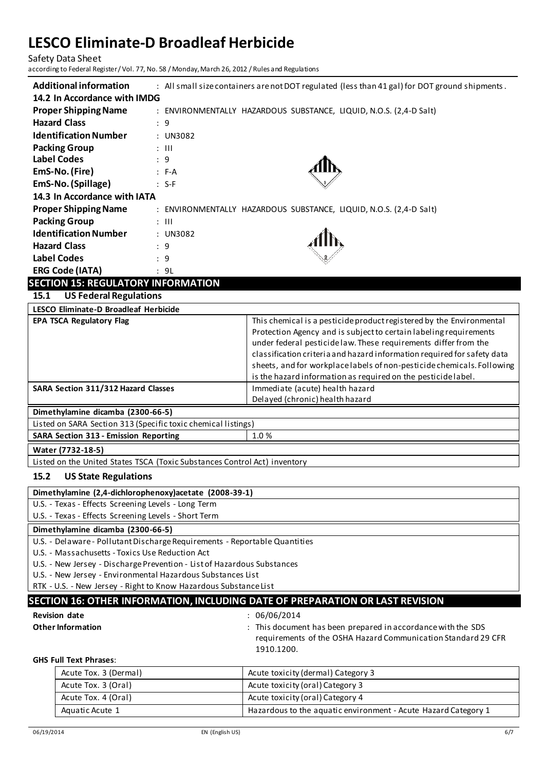Safety Data Sheet according to Federal Register / Vol. 77, No. 58 / Monday, March 26, 2012 / Rules and Regulations

| <b>Additional information</b> | : All small size containers are not DOT regulated (less than 41 gal) for DOT ground shipments. |
|-------------------------------|------------------------------------------------------------------------------------------------|
| 14.2 In Accordance with IMDG  |                                                                                                |
| <b>Proper Shipping Name</b>   | : ENVIRONMENTALLY HAZARDOUS SUBSTANCE, LIQUID, N.O.S. (2,4-D Salt)                             |
| <b>Hazard Class</b>           | : 9                                                                                            |
| <b>Identification Number</b>  | : UN3082                                                                                       |
| <b>Packing Group</b>          | $\therefore$ $\Box$                                                                            |
| <b>Label Codes</b>            | : 9                                                                                            |
| EmS-No. (Fire)                | $: F-A$                                                                                        |
| EmS-No. (Spillage)            | $: S-F$                                                                                        |
| 14.3 In Accordance with IATA  |                                                                                                |
| <b>Proper Shipping Name</b>   | : ENVIRONMENTALLY HAZARDOUS SUBSTANCE, LIQUID, N.O.S. (2,4-D Salt)                             |
| <b>Packing Group</b>          | $\therefore$ $\parallel$                                                                       |
| <b>Identification Number</b>  | $:$ UN3082                                                                                     |
| <b>Hazard Class</b>           | : 9                                                                                            |
| <b>Label Codes</b>            | : 9                                                                                            |
| <b>ERG Code (IATA)</b>        | : 9L                                                                                           |

### **SECTION 15: REGULATORY INFORMATION**

**15.1 US Federal Regulations**

| LESCO Eliminate-D Broadleaf Herbicide |                                                                                                                                                                                                                                                                                                                                                                                                                                    |
|---------------------------------------|------------------------------------------------------------------------------------------------------------------------------------------------------------------------------------------------------------------------------------------------------------------------------------------------------------------------------------------------------------------------------------------------------------------------------------|
| <b>EPA TSCA Regulatory Flag</b>       | This chemical is a pesticide product registered by the Environmental<br>Protection Agency and is subject to certain labeling requirements<br>under federal pesticide law. These requirements differ from the<br>classification criteria and hazard information required for safety data<br>sheets, and for workplace labels of non-pesticide chemicals. Following<br>is the hazard information as required on the pesticide label. |
| SARA Section 311/312 Hazard Classes   | Immediate (acute) health hazard<br>Delayed (chronic) health hazard                                                                                                                                                                                                                                                                                                                                                                 |
| Dimethylamine dicamba (2300-66-5)     |                                                                                                                                                                                                                                                                                                                                                                                                                                    |

Listed on SARA Section 313 (Specific toxic chemical listings)

| Listed on SAMA Section 313 (Specific toxic chemical itsuits) |  |  |  |  |
|--------------------------------------------------------------|--|--|--|--|
| 1.0 %<br><b>SARA Section 313 - Emission Reporting</b>        |  |  |  |  |

Listed on the United States TSCA (Toxic Substances Control Act) inventory

**Water (7732-18-5)**

### **15.2 US State Regulations**

**Dimethylamine (2,4-dichlorophenoxy)acetate (2008-39-1)**

U.S. - Texas - Effects Screening Levels - Long Term

U.S. - Texas - Effects Screening Levels - Short Term

#### **Dimethylamine dicamba (2300-66-5)**

U.S. - Delaware - Pollutant Discharge Requirements - Reportable Quantities

U.S. - Massachusetts - Toxics Use Reduction Act

U.S. - New Jersey - Discharge Prevention - List of Hazardous Substances

U.S. - New Jersey - Environmental Hazardous Substances List

RTK - U.S. - New Jersey - Right to Know Hazardous Substance List

### **SECTION 16: OTHER INFORMATION, INCLUDING DATE OF PREPARATION OR LAST REVISION**

**Revision date** : 06/06/2014

**Other Information <b>Information :** This document has been prepared in accordance with the SDS requirements of the OSHA Hazard Communication Standard 29 CFR 1910.1200.

#### **GHS Full Text Phrases**:

| Acute Tox. 3 (Dermal) | Acute toxicity (dermal) Category 3                             |
|-----------------------|----------------------------------------------------------------|
| Acute Tox. 3 (Oral)   | Acute toxicity (oral) Category 3                               |
| Acute Tox. 4 (Oral)   | Acute toxicity (oral) Category 4                               |
| Aquatic Acute 1       | Hazardous to the aquatic environment - Acute Hazard Category 1 |